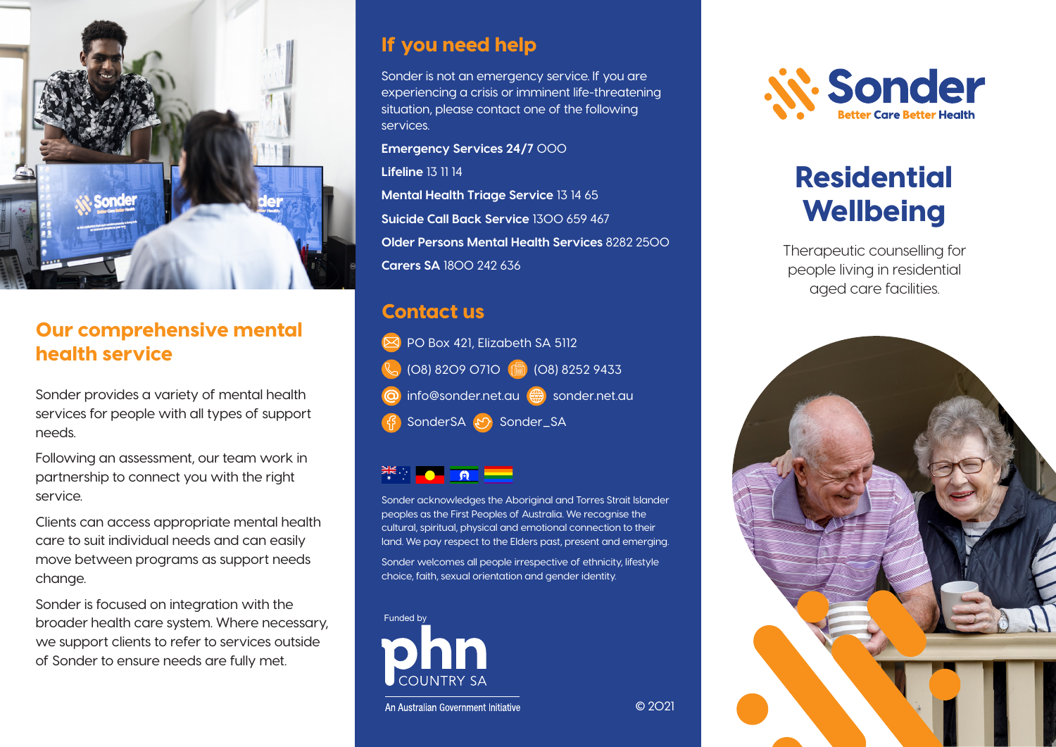

### Our comprehensive mental health service

Sonder provides a variety of mental health services for people with all types of support needs.

Following an assessment, our team work in partnership to connect you with the right service.

Clients can access appropriate mental health care to suit individual needs and can easily move between programs as support needs change.

Sonder is focused on integration with the broader health care system. Where necessary, we support clients to refer to services outside of Sonder to ensure needs are fully met.

### If you need help

Sonder is not an emergency service. If you are experiencing a crisis or imminent life-threatening situation, please contact one of the following services.

**Emergency Services 24/7** 000

**Lifeline** 13 11 14

**Mental Health Triage Service** 13 14 65 **Suicide Call Back Service** 1300 659 467 **Older Persons Mental Health Services** 8282 2500 **Carers SA** 1800 242 636

### Contact us

| PO Box 421, Elizabeth SA 5112        |
|--------------------------------------|
| C (08) 8209 0710 (a) (08) 8252 9433  |
| O info@sonder.net.au e sonder.net.au |
| 子 SonderSA 5 Sonder_SA               |

Sonder acknowledges the Aboriginal and Torres Strait Islander peoples as the First Peoples of Australia. We recognise the cultural, spiritual, physical and emotional connection to their land. We pay respect to the Elders past, present and emerging.

Sonder welcomes all people irrespective of ethnicity, lifestyle choice, faith, sexual orientation and gender identity.





# Residential **Wellbeing**

Therapeutic counselling for people living in residential aged care facilities.



© 2021